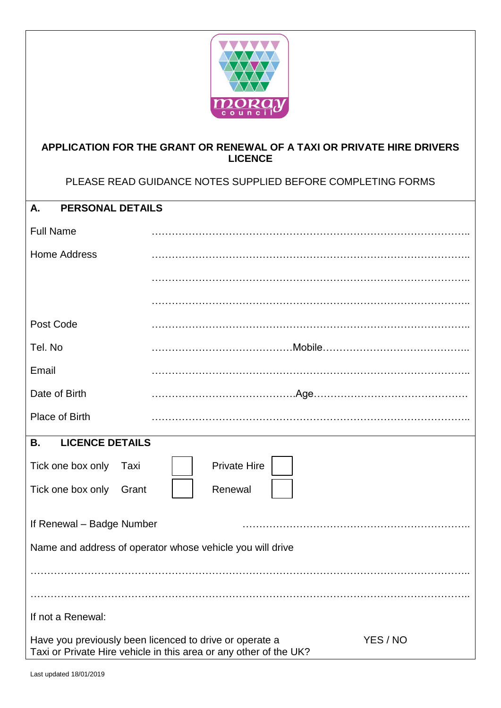

## **APPLICATION FOR THE GRANT OR RENEWAL OF A TAXI OR PRIVATE HIRE DRIVERS LICENCE**

PLEASE READ GUIDANCE NOTES SUPPLIED BEFORE COMPLETING FORMS

| <b>PERSONAL DETAILS</b><br>Α.                                                                                                            |                     |  |
|------------------------------------------------------------------------------------------------------------------------------------------|---------------------|--|
| <b>Full Name</b>                                                                                                                         |                     |  |
| <b>Home Address</b>                                                                                                                      |                     |  |
|                                                                                                                                          |                     |  |
|                                                                                                                                          |                     |  |
| Post Code                                                                                                                                |                     |  |
| Tel. No                                                                                                                                  |                     |  |
| Email                                                                                                                                    |                     |  |
| Date of Birth                                                                                                                            |                     |  |
| Place of Birth                                                                                                                           |                     |  |
| <b>LICENCE DETAILS</b><br><b>B.</b>                                                                                                      |                     |  |
| Tick one box only<br>Taxi                                                                                                                | <b>Private Hire</b> |  |
| Renewal<br>Tick one box only<br>Grant                                                                                                    |                     |  |
| If Renewal - Badge Number                                                                                                                |                     |  |
| Name and address of operator whose vehicle you will drive                                                                                |                     |  |
|                                                                                                                                          |                     |  |
|                                                                                                                                          |                     |  |
| If not a Renewal:                                                                                                                        |                     |  |
| YES / NO<br>Have you previously been licenced to drive or operate a<br>Taxi or Private Hire vehicle in this area or any other of the UK? |                     |  |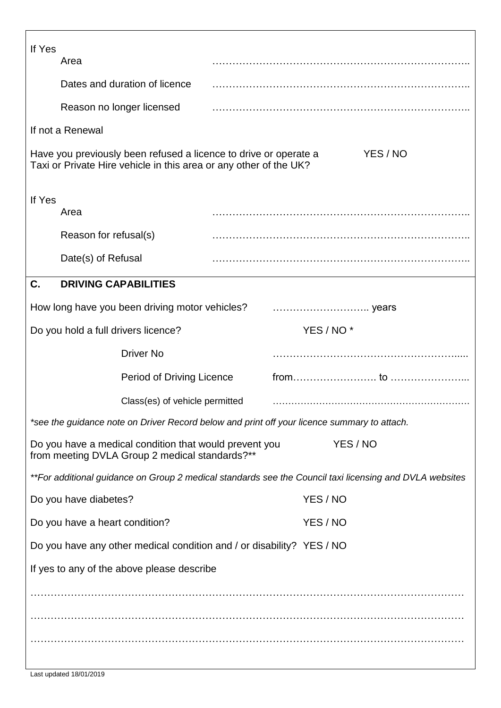| If Yes                                                                                                                                            | Area                                                                                        |  |  |                       |
|---------------------------------------------------------------------------------------------------------------------------------------------------|---------------------------------------------------------------------------------------------|--|--|-----------------------|
|                                                                                                                                                   | Dates and duration of licence                                                               |  |  |                       |
|                                                                                                                                                   | Reason no longer licensed                                                                   |  |  |                       |
|                                                                                                                                                   | If not a Renewal                                                                            |  |  |                       |
| Have you previously been refused a licence to drive or operate a<br>YES / NO<br>Taxi or Private Hire vehicle in this area or any other of the UK? |                                                                                             |  |  |                       |
| If Yes                                                                                                                                            |                                                                                             |  |  |                       |
|                                                                                                                                                   | Area                                                                                        |  |  |                       |
|                                                                                                                                                   | Reason for refusal(s)                                                                       |  |  |                       |
|                                                                                                                                                   | Date(s) of Refusal                                                                          |  |  |                       |
| C.                                                                                                                                                | <b>DRIVING CAPABILITIES</b>                                                                 |  |  |                       |
|                                                                                                                                                   |                                                                                             |  |  |                       |
|                                                                                                                                                   | Do you hold a full drivers licence?                                                         |  |  | YES / NO <sup>*</sup> |
|                                                                                                                                                   | <b>Driver No</b>                                                                            |  |  |                       |
|                                                                                                                                                   | Period of Driving Licence                                                                   |  |  | $from \dots 1000$     |
|                                                                                                                                                   | Class(es) of vehicle permitted                                                              |  |  |                       |
|                                                                                                                                                   | *see the guidance note on Driver Record below and print off your licence summary to attach. |  |  |                       |
| YES / NO<br>Do you have a medical condition that would prevent you<br>from meeting DVLA Group 2 medical standards?**                              |                                                                                             |  |  |                       |
| **For additional guidance on Group 2 medical standards see the Council taxi licensing and DVLA websites                                           |                                                                                             |  |  |                       |
|                                                                                                                                                   | Do you have diabetes?                                                                       |  |  | YES / NO              |
|                                                                                                                                                   | Do you have a heart condition?                                                              |  |  | YES / NO              |
| Do you have any other medical condition and / or disability? YES / NO                                                                             |                                                                                             |  |  |                       |
| If yes to any of the above please describe                                                                                                        |                                                                                             |  |  |                       |
|                                                                                                                                                   |                                                                                             |  |  |                       |
|                                                                                                                                                   |                                                                                             |  |  |                       |
|                                                                                                                                                   |                                                                                             |  |  |                       |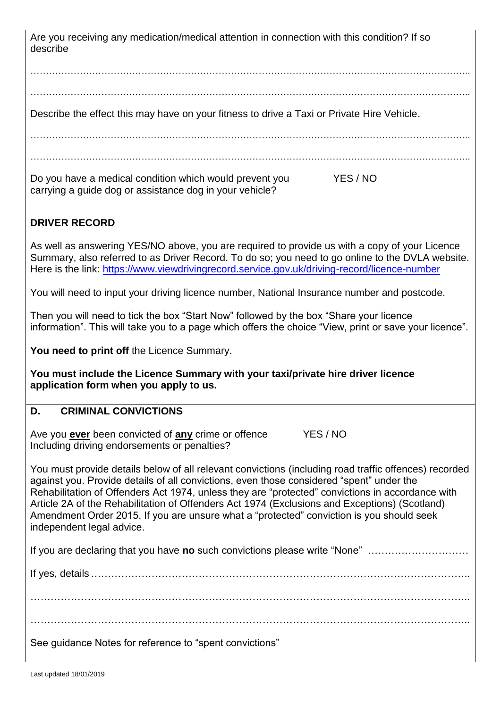Are you receiving any medication/medical attention in connection with this condition? If so describe

……………………………………………………………………………………………………………………………..

……………………………………………………………………………………………………………………………..

Describe the effect this may have on your fitness to drive a Taxi or Private Hire Vehicle.

……………………………………………………………………………………………………………………………..

……………………………………………………………………………………………………………………………..

Do you have a medical condition which would prevent you YES / NO carrying a guide dog or assistance dog in your vehicle?

# **DRIVER RECORD**

As well as answering YES/NO above, you are required to provide us with a copy of your Licence Summary, also referred to as Driver Record. To do so; you need to go online to the DVLA website. Here is the link:<https://www.viewdrivingrecord.service.gov.uk/driving-record/licence-number>

You will need to input your driving licence number, National Insurance number and postcode.

Then you will need to tick the box "Start Now" followed by the box "Share your licence information". This will take you to a page which offers the choice "View, print or save your licence".

**You need to print off** the Licence Summary.

**You must include the Licence Summary with your taxi/private hire driver licence application form when you apply to us.** 

## **D. CRIMINAL CONVICTIONS**

Ave you **ever** been convicted of **any** crime or offence YES / NO Including driving endorsements or penalties?

You must provide details below of all relevant convictions (including road traffic offences) recorded against you. Provide details of all convictions, even those considered "spent" under the Rehabilitation of Offenders Act 1974, unless they are "protected" convictions in accordance with Article 2A of the Rehabilitation of Offenders Act 1974 (Exclusions and Exceptions) (Scotland) Amendment Order 2015. If you are unsure what a "protected" conviction is you should seek independent legal advice.

If you are declaring that you have **no** such convictions please write "None" …………………………

If yes, details …………………………………………………………………………………………………..

…………………………………………………………………………………………………………………..

…………………………………………………………………………………………………………………..

See guidance Notes for reference to "spent convictions"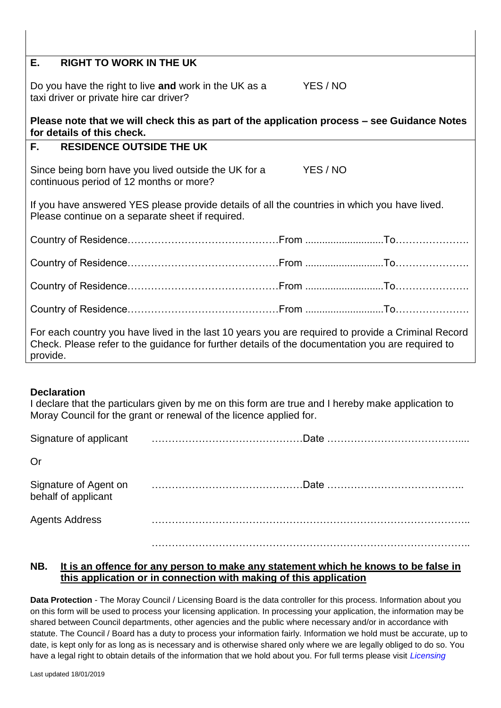## **E. RIGHT TO WORK IN THE UK**

Do you have the right to live **and** work in the UK as a YES / NO taxi driver or private hire car driver?

## **Please note that we will check this as part of the application process – see Guidance Notes for details of this check.**

## **F. RESIDENCE OUTSIDE THE UK**

Since being born have you lived outside the UK for a YES / NO continuous period of 12 months or more?

If you have answered YES please provide details of all the countries in which you have lived. Please continue on a separate sheet if required.

| $\frac{1}{2}$ For each country vou have lived in the last 10 years vou are required to provide a Criminal Pecerd |  |  |  |
|------------------------------------------------------------------------------------------------------------------|--|--|--|

For each country you have lived in the last 10 years you are required to provide a Criminal Record Check. Please refer to the guidance for further details of the documentation you are required to provide.

#### **Declaration**

I declare that the particulars given by me on this form are true and I hereby make application to Moray Council for the grant or renewal of the licence applied for.

| Signature of applicant |  |
|------------------------|--|
|                        |  |

Or

| behalf of applicant | Signature of Agent on manufactured contains the manufacture of Agent on manufactured contains the Signature of |
|---------------------|----------------------------------------------------------------------------------------------------------------|
| Agents Address      |                                                                                                                |

…………………………………………………………………………………..

#### **NB. It is an offence for any person to make any statement which he knows to be false in this application or in connection with making of this application**

**Data Protection** - The Moray Council / Licensing Board is the data controller for this process. Information about you on this form will be used to process your licensing application. In processing your application, the information may be shared between Council departments, other agencies and the public where necessary and/or in accordance with statute. The Council / Board has a duty to process your information fairly. Information we hold must be accurate, up to date, is kept only for as long as is necessary and is otherwise shared only where we are legally obliged to do so. You have a legal right to obtain details of the information that we hold about you. For full terms please visit *Licensing*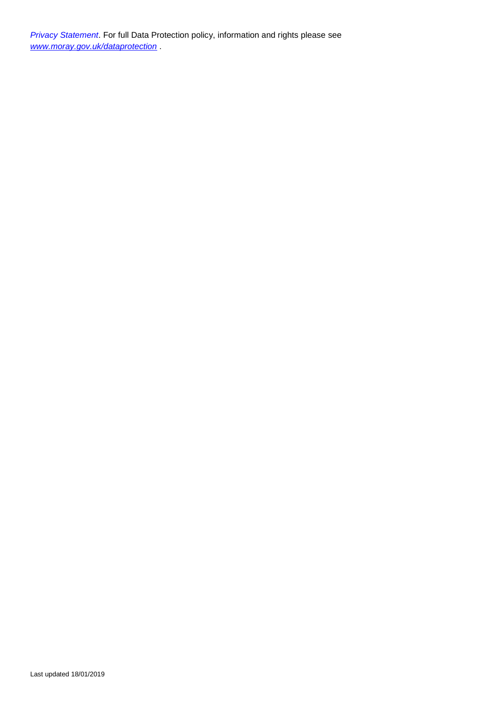*Privacy Statement*. For full Data Protection policy, information and rights please see *[www.moray.gov.uk/dataprotection](http://www.moray.gov.uk/dataprotection)* .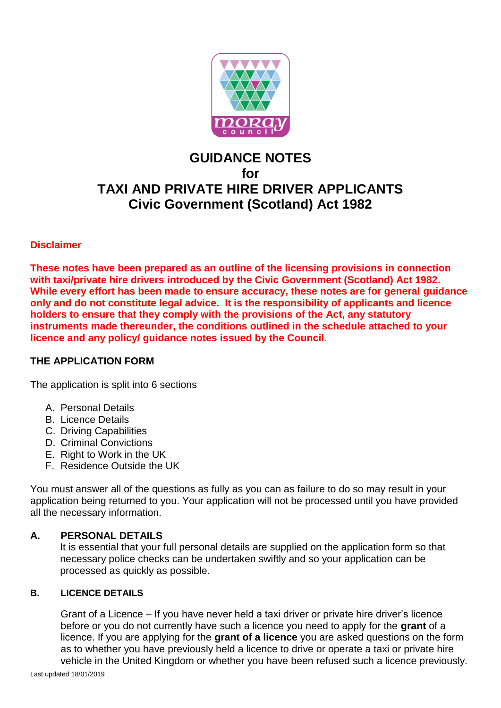

# **GUIDANCE NOTES for TAXI AND PRIVATE HIRE DRIVER APPLICANTS Civic Government (Scotland) Act 1982**

## **Disclaimer**

**These notes have been prepared as an outline of the licensing provisions in connection with taxi/private hire drivers introduced by the Civic Government (Scotland) Act 1982. While every effort has been made to ensure accuracy, these notes are for general guidance only and do not constitute legal advice. It is the responsibility of applicants and licence holders to ensure that they comply with the provisions of the Act, any statutory instruments made thereunder, the conditions outlined in the schedule attached to your licence and any policy/ guidance notes issued by the Council.**

#### **THE APPLICATION FORM**

The application is split into 6 sections

- A. Personal Details
- B. Licence Details
- C. Driving Capabilities
- D. Criminal Convictions
- E. Right to Work in the UK
- F. Residence Outside the UK

You must answer all of the questions as fully as you can as failure to do so may result in your application being returned to you. Your application will not be processed until you have provided all the necessary information.

#### **A. PERSONAL DETAILS**

It is essential that your full personal details are supplied on the application form so that necessary police checks can be undertaken swiftly and so your application can be processed as quickly as possible.

#### **B. LICENCE DETAILS**

Grant of a Licence – If you have never held a taxi driver or private hire driver's licence before or you do not currently have such a licence you need to apply for the **grant** of a licence. If you are applying for the **grant of a licence** you are asked questions on the form as to whether you have previously held a licence to drive or operate a taxi or private hire vehicle in the United Kingdom or whether you have been refused such a licence previously.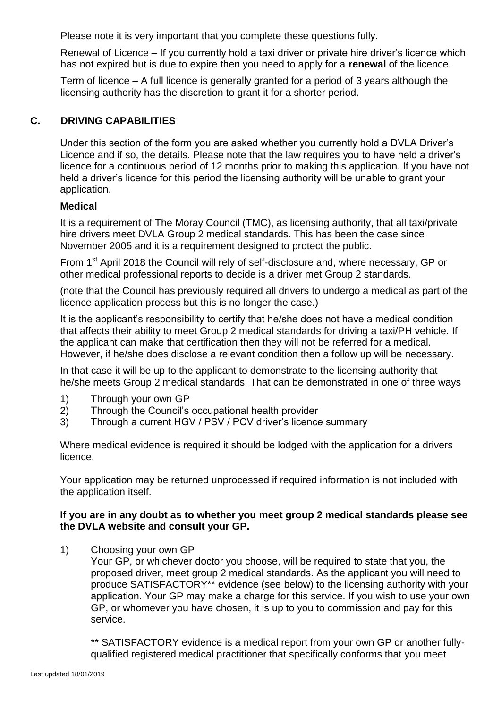Please note it is very important that you complete these questions fully.

Renewal of Licence – If you currently hold a taxi driver or private hire driver's licence which has not expired but is due to expire then you need to apply for a **renewal** of the licence.

Term of licence – A full licence is generally granted for a period of 3 years although the licensing authority has the discretion to grant it for a shorter period.

## **C. DRIVING CAPABILITIES**

Under this section of the form you are asked whether you currently hold a DVLA Driver's Licence and if so, the details. Please note that the law requires you to have held a driver's licence for a continuous period of 12 months prior to making this application. If you have not held a driver's licence for this period the licensing authority will be unable to grant your application.

## **Medical**

It is a requirement of The Moray Council (TMC), as licensing authority, that all taxi/private hire drivers meet DVLA Group 2 medical standards. This has been the case since November 2005 and it is a requirement designed to protect the public.

From 1<sup>st</sup> April 2018 the Council will rely of self-disclosure and, where necessary, GP or other medical professional reports to decide is a driver met Group 2 standards.

(note that the Council has previously required all drivers to undergo a medical as part of the licence application process but this is no longer the case.)

It is the applicant's responsibility to certify that he/she does not have a medical condition that affects their ability to meet Group 2 medical standards for driving a taxi/PH vehicle. If the applicant can make that certification then they will not be referred for a medical. However, if he/she does disclose a relevant condition then a follow up will be necessary.

In that case it will be up to the applicant to demonstrate to the licensing authority that he/she meets Group 2 medical standards. That can be demonstrated in one of three ways

- 1) Through your own GP
- 2) Through the Council's occupational health provider
- 3) Through a current HGV / PSV / PCV driver's licence summary

Where medical evidence is required it should be lodged with the application for a drivers licence.

Your application may be returned unprocessed if required information is not included with the application itself.

#### **If you are in any doubt as to whether you meet group 2 medical standards please see the DVLA website and consult your GP.**

1) Choosing your own GP

Your GP, or whichever doctor you choose, will be required to state that you, the proposed driver, meet group 2 medical standards. As the applicant you will need to produce SATISFACTORY\*\* evidence (see below) to the licensing authority with your application. Your GP may make a charge for this service. If you wish to use your own GP, or whomever you have chosen, it is up to you to commission and pay for this service.

\*\* SATISFACTORY evidence is a medical report from your own GP or another fullyqualified registered medical practitioner that specifically conforms that you meet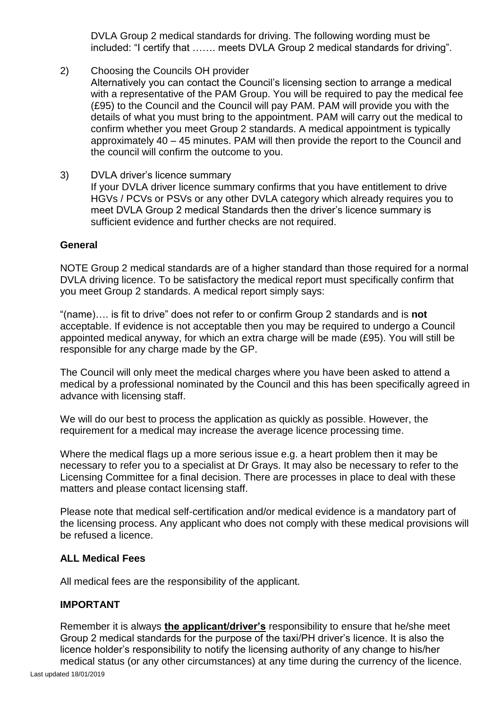DVLA Group 2 medical standards for driving. The following wording must be included: "I certify that ……. meets DVLA Group 2 medical standards for driving".

2) Choosing the Councils OH provider

Alternatively you can contact the Council's licensing section to arrange a medical with a representative of the PAM Group. You will be required to pay the medical fee (£95) to the Council and the Council will pay PAM. PAM will provide you with the details of what you must bring to the appointment. PAM will carry out the medical to confirm whether you meet Group 2 standards. A medical appointment is typically approximately 40 – 45 minutes. PAM will then provide the report to the Council and the council will confirm the outcome to you.

3) DVLA driver's licence summary If your DVLA driver licence summary confirms that you have entitlement to drive HGVs / PCVs or PSVs or any other DVLA category which already requires you to meet DVLA Group 2 medical Standards then the driver's licence summary is sufficient evidence and further checks are not required.

#### **General**

NOTE Group 2 medical standards are of a higher standard than those required for a normal DVLA driving licence. To be satisfactory the medical report must specifically confirm that you meet Group 2 standards. A medical report simply says:

"(name)…. is fit to drive" does not refer to or confirm Group 2 standards and is **not** acceptable. If evidence is not acceptable then you may be required to undergo a Council appointed medical anyway, for which an extra charge will be made (£95). You will still be responsible for any charge made by the GP.

The Council will only meet the medical charges where you have been asked to attend a medical by a professional nominated by the Council and this has been specifically agreed in advance with licensing staff.

We will do our best to process the application as quickly as possible. However, the requirement for a medical may increase the average licence processing time.

Where the medical flags up a more serious issue e.g. a heart problem then it may be necessary to refer you to a specialist at Dr Grays. It may also be necessary to refer to the Licensing Committee for a final decision. There are processes in place to deal with these matters and please contact licensing staff.

Please note that medical self-certification and/or medical evidence is a mandatory part of the licensing process. Any applicant who does not comply with these medical provisions will be refused a licence.

#### **ALL Medical Fees**

All medical fees are the responsibility of the applicant.

#### **IMPORTANT**

Remember it is always **the applicant/driver's** responsibility to ensure that he/she meet Group 2 medical standards for the purpose of the taxi/PH driver's licence. It is also the licence holder's responsibility to notify the licensing authority of any change to his/her medical status (or any other circumstances) at any time during the currency of the licence.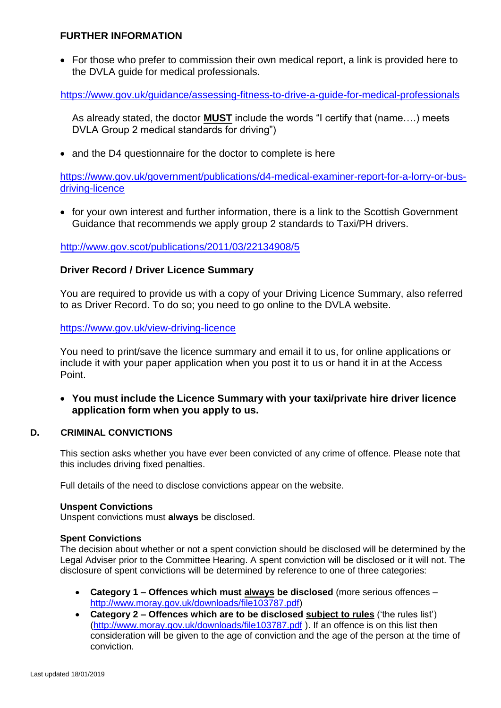#### **FURTHER INFORMATION**

 For those who prefer to commission their own medical report, a link is provided here to the DVLA guide for medical professionals.

<https://www.gov.uk/guidance/assessing-fitness-to-drive-a-guide-for-medical-professionals>

As already stated, the doctor **MUST** include the words "I certify that (name….) meets DVLA Group 2 medical standards for driving")

• and the D4 questionnaire for the doctor to complete is here

[https://www.gov.uk/government/publications/d4-medical-examiner-report-for-a-lorry-or-bus](https://www.gov.uk/government/publications/d4-medical-examiner-report-for-a-lorry-or-bus-driving-licence)[driving-licence](https://www.gov.uk/government/publications/d4-medical-examiner-report-for-a-lorry-or-bus-driving-licence)

• for your own interest and further information, there is a link to the Scottish Government Guidance that recommends we apply group 2 standards to Taxi/PH drivers.

<http://www.gov.scot/publications/2011/03/22134908/5>

#### **Driver Record / Driver Licence Summary**

You are required to provide us with a copy of your Driving Licence Summary, also referred to as Driver Record. To do so; you need to go online to the DVLA website.

<https://www.gov.uk/view-driving-licence>

You need to print/save the licence summary and email it to us, for online applications or include it with your paper application when you post it to us or hand it in at the Access Point.

 **You must include the Licence Summary with your taxi/private hire driver licence application form when you apply to us.**

#### **D. CRIMINAL CONVICTIONS**

This section asks whether you have ever been convicted of any crime of offence. Please note that this includes driving fixed penalties.

Full details of the need to disclose convictions appear on the website.

#### **Unspent Convictions**

Unspent convictions must **always** be disclosed.

#### **Spent Convictions**

The decision about whether or not a spent conviction should be disclosed will be determined by the Legal Adviser prior to the Committee Hearing. A spent conviction will be disclosed or it will not. The disclosure of spent convictions will be determined by reference to one of three categories:

- **Category 1 – Offences which must always be disclosed** (more serious offences [http://www.moray.gov.uk/downloads/file103787.pdf\)](http://www.moray.gov.uk/downloads/file103787.pdf)
- **Category 2 – Offences which are to be disclosed subject to rules** ('the rules list') [\(http://www.moray.gov.uk/downloads/file103787.pdf](http://www.moray.gov.uk/downloads/file103787.pdf) ). If an offence is on this list then consideration will be given to the age of conviction and the age of the person at the time of conviction.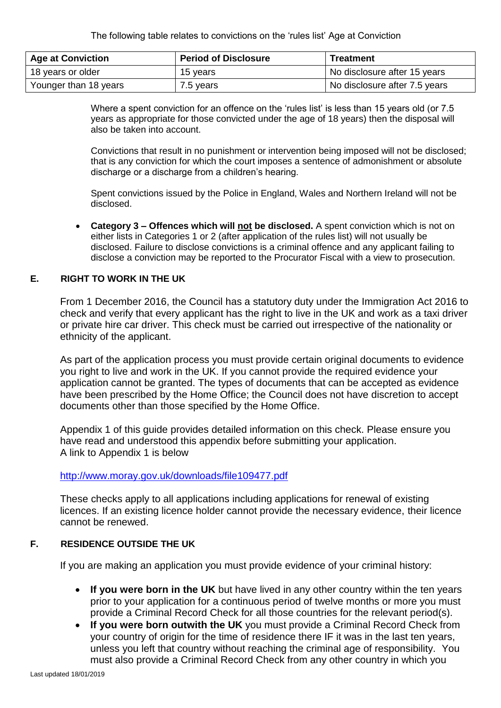The following table relates to convictions on the 'rules list' Age at Conviction

| <b>Age at Conviction</b> | <b>Period of Disclosure</b> | <b>Treatment</b>              |
|--------------------------|-----------------------------|-------------------------------|
| 18 years or older        | 15 vears                    | No disclosure after 15 years  |
| Younger than 18 years    | 7.5 years                   | No disclosure after 7.5 years |

Where a spent conviction for an offence on the 'rules list' is less than 15 years old (or 7.5 years as appropriate for those convicted under the age of 18 years) then the disposal will also be taken into account.

Convictions that result in no punishment or intervention being imposed will not be disclosed; that is any conviction for which the court imposes a sentence of admonishment or absolute discharge or a discharge from a children's hearing.

Spent convictions issued by the Police in England, Wales and Northern Ireland will not be disclosed.

 **Category 3 – Offences which will not be disclosed.** A spent conviction which is not on either lists in Categories 1 or 2 (after application of the rules list) will not usually be disclosed. Failure to disclose convictions is a criminal offence and any applicant failing to disclose a conviction may be reported to the Procurator Fiscal with a view to prosecution.

#### **E. RIGHT TO WORK IN THE UK**

From 1 December 2016, the Council has a statutory duty under the Immigration Act 2016 to check and verify that every applicant has the right to live in the UK and work as a taxi driver or private hire car driver. This check must be carried out irrespective of the nationality or ethnicity of the applicant.

As part of the application process you must provide certain original documents to evidence you right to live and work in the UK. If you cannot provide the required evidence your application cannot be granted. The types of documents that can be accepted as evidence have been prescribed by the Home Office; the Council does not have discretion to accept documents other than those specified by the Home Office.

Appendix 1 of this guide provides detailed information on this check. Please ensure you have read and understood this appendix before submitting your application. A link to Appendix 1 is below

#### <http://www.moray.gov.uk/downloads/file109477.pdf>

These checks apply to all applications including applications for renewal of existing licences. If an existing licence holder cannot provide the necessary evidence, their licence cannot be renewed.

#### **F. RESIDENCE OUTSIDE THE UK**

If you are making an application you must provide evidence of your criminal history:

- **If you were born in the UK** but have lived in any other country within the ten years prior to your application for a continuous period of twelve months or more you must provide a Criminal Record Check for all those countries for the relevant period(s).
- **If you were born outwith the UK** you must provide a Criminal Record Check from your country of origin for the time of residence there IF it was in the last ten years, unless you left that country without reaching the criminal age of responsibility. You must also provide a Criminal Record Check from any other country in which you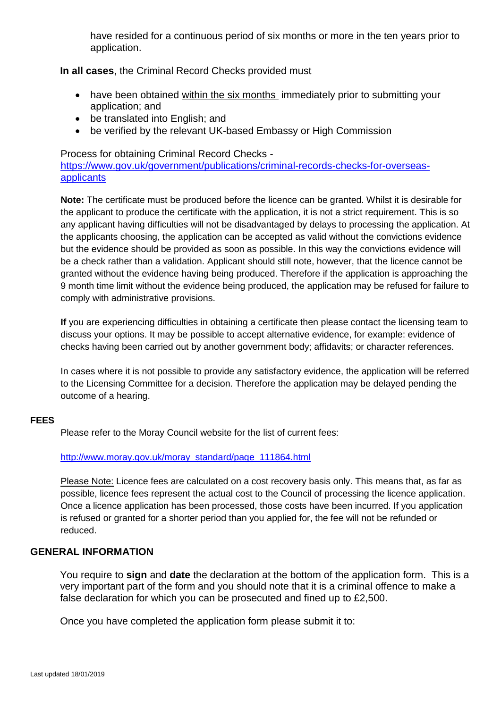have resided for a continuous period of six months or more in the ten years prior to application.

**In all cases**, the Criminal Record Checks provided must

- have been obtained within the six months immediately prior to submitting your application; and
- be translated into English; and
- be verified by the relevant UK-based Embassy or High Commission

Process for obtaining Criminal Record Checks [https://www.gov.uk/government/publications/criminal-records-checks-for-overseas](https://www.gov.uk/government/publications/criminal-records-checks-for-overseas-applicants)[applicants](https://www.gov.uk/government/publications/criminal-records-checks-for-overseas-applicants)

**Note:** The certificate must be produced before the licence can be granted. Whilst it is desirable for the applicant to produce the certificate with the application, it is not a strict requirement. This is so any applicant having difficulties will not be disadvantaged by delays to processing the application. At the applicants choosing, the application can be accepted as valid without the convictions evidence but the evidence should be provided as soon as possible. In this way the convictions evidence will be a check rather than a validation. Applicant should still note, however, that the licence cannot be granted without the evidence having being produced. Therefore if the application is approaching the 9 month time limit without the evidence being produced, the application may be refused for failure to comply with administrative provisions.

**If** you are experiencing difficulties in obtaining a certificate then please contact the licensing team to discuss your options. It may be possible to accept alternative evidence, for example: evidence of checks having been carried out by another government body; affidavits; or character references.

In cases where it is not possible to provide any satisfactory evidence, the application will be referred to the Licensing Committee for a decision. Therefore the application may be delayed pending the outcome of a hearing.

#### **FEES**

Please refer to the Moray Council website for the list of current fees:

#### [http://www.moray.gov.uk/moray\\_standard/page\\_111864.html](http://www.moray.gov.uk/moray_standard/page_111864.html)

Please Note: Licence fees are calculated on a cost recovery basis only. This means that, as far as possible, licence fees represent the actual cost to the Council of processing the licence application. Once a licence application has been processed, those costs have been incurred. If you application is refused or granted for a shorter period than you applied for, the fee will not be refunded or reduced.

#### **GENERAL INFORMATION**

You require to **sign** and **date** the declaration at the bottom of the application form. This is a very important part of the form and you should note that it is a criminal offence to make a false declaration for which you can be prosecuted and fined up to £2,500.

Once you have completed the application form please submit it to: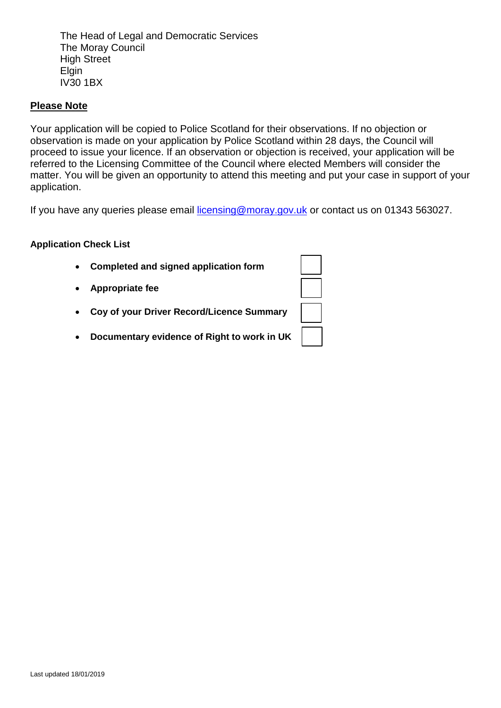The Head of Legal and Democratic Services The Moray Council High Street **Elgin** IV30 1BX

## **Please Note**

Your application will be copied to Police Scotland for their observations. If no objection or observation is made on your application by Police Scotland within 28 days, the Council will proceed to issue your licence. If an observation or objection is received, your application will be referred to the Licensing Committee of the Council where elected Members will consider the matter. You will be given an opportunity to attend this meeting and put your case in support of your application.

If you have any queries please email [licensing@moray.gov.uk](mailto:licensing@moray.gov.uk) or contact us on 01343 563027.

#### **Application Check List**

| $\bullet$ | Completed and signed application form       |  |
|-----------|---------------------------------------------|--|
|           | • Appropriate fee                           |  |
|           | • Coy of your Driver Record/Licence Summary |  |
| $\bullet$ | Documentary evidence of Right to work in UK |  |
|           |                                             |  |